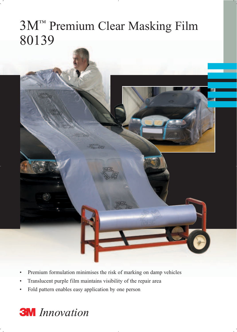## 3M™ Premium Clear Masking Film 80139



- Premium formulation minimises the risk of marking on damp vehicles
- Translucent purple film maintains visibility of the repair area
- Fold pattern enables easy application by one person